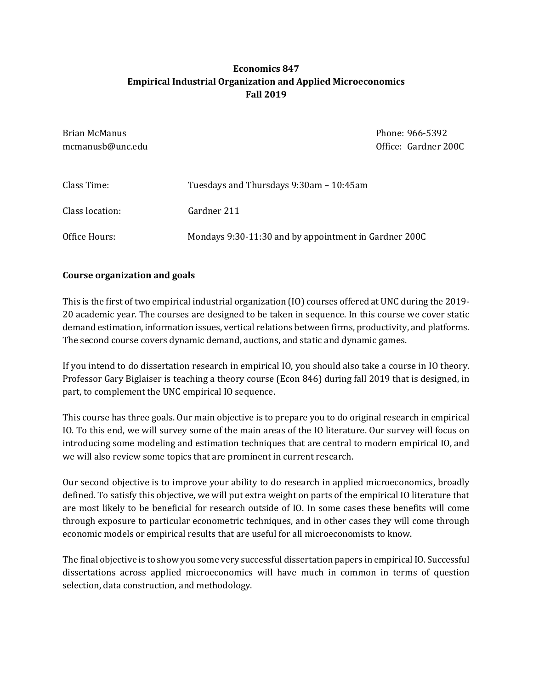## Economics 847 Empirical Industrial Organization and Applied Microeconomics Fall 2019

| Brian McManus<br>mcmanusb@unc.edu |                                                       | Phone: 966-5392<br>Office: Gardner 200C |
|-----------------------------------|-------------------------------------------------------|-----------------------------------------|
| Class Time:                       | Tuesdays and Thursdays 9:30am – 10:45am               |                                         |
| Class location:                   | Gardner 211                                           |                                         |
| Office Hours:                     | Mondays 9:30-11:30 and by appointment in Gardner 200C |                                         |

#### Course organization and goals

This is the first of two empirical industrial organization (IO) courses offered at UNC during the 2019- 20 academic year. The courses are designed to be taken in sequence. In this course we cover static demand estimation, information issues, vertical relations between firms, productivity, and platforms. The second course covers dynamic demand, auctions, and static and dynamic games.

If you intend to do dissertation research in empirical IO, you should also take a course in IO theory. Professor Gary Biglaiser is teaching a theory course (Econ 846) during fall 2019 that is designed, in part, to complement the UNC empirical IO sequence.

This course has three goals. Our main objective is to prepare you to do original research in empirical IO. To this end, we will survey some of the main areas of the IO literature. Our survey will focus on introducing some modeling and estimation techniques that are central to modern empirical IO, and we will also review some topics that are prominent in current research.

Our second objective is to improve your ability to do research in applied microeconomics, broadly defined. To satisfy this objective, we will put extra weight on parts of the empirical IO literature that are most likely to be beneficial for research outside of IO. In some cases these benefits will come through exposure to particular econometric techniques, and in other cases they will come through economic models or empirical results that are useful for all microeconomists to know.

The final objective is to show you some very successful dissertation papers in empirical IO. Successful dissertations across applied microeconomics will have much in common in terms of question selection, data construction, and methodology.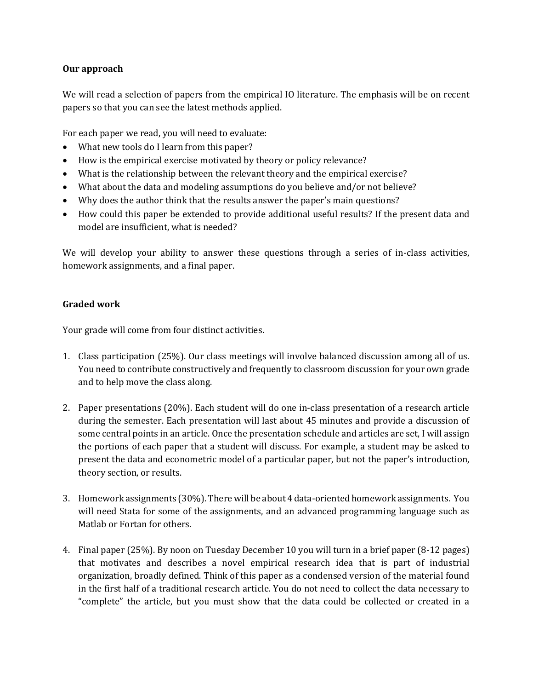### Our approach

We will read a selection of papers from the empirical IO literature. The emphasis will be on recent papers so that you can see the latest methods applied.

For each paper we read, you will need to evaluate:

- What new tools do I learn from this paper?
- How is the empirical exercise motivated by theory or policy relevance?
- What is the relationship between the relevant theory and the empirical exercise?
- What about the data and modeling assumptions do you believe and/or not believe?
- Why does the author think that the results answer the paper's main questions?
- How could this paper be extended to provide additional useful results? If the present data and model are insufficient, what is needed?

We will develop your ability to answer these questions through a series of in-class activities, homework assignments, and a final paper.

### Graded work

Your grade will come from four distinct activities.

- 1. Class participation (25%). Our class meetings will involve balanced discussion among all of us. You need to contribute constructively and frequently to classroom discussion for your own grade and to help move the class along.
- 2. Paper presentations (20%). Each student will do one in-class presentation of a research article during the semester. Each presentation will last about 45 minutes and provide a discussion of some central points in an article. Once the presentation schedule and articles are set, I will assign the portions of each paper that a student will discuss. For example, a student may be asked to present the data and econometric model of a particular paper, but not the paper's introduction, theory section, or results.
- 3. Homework assignments (30%). There will be about 4 data-oriented homework assignments. You will need Stata for some of the assignments, and an advanced programming language such as Matlab or Fortan for others.
- 4. Final paper (25%). By noon on Tuesday December 10 you will turn in a brief paper (8-12 pages) that motivates and describes a novel empirical research idea that is part of industrial organization, broadly defined. Think of this paper as a condensed version of the material found in the first half of a traditional research article. You do not need to collect the data necessary to "complete" the article, but you must show that the data could be collected or created in a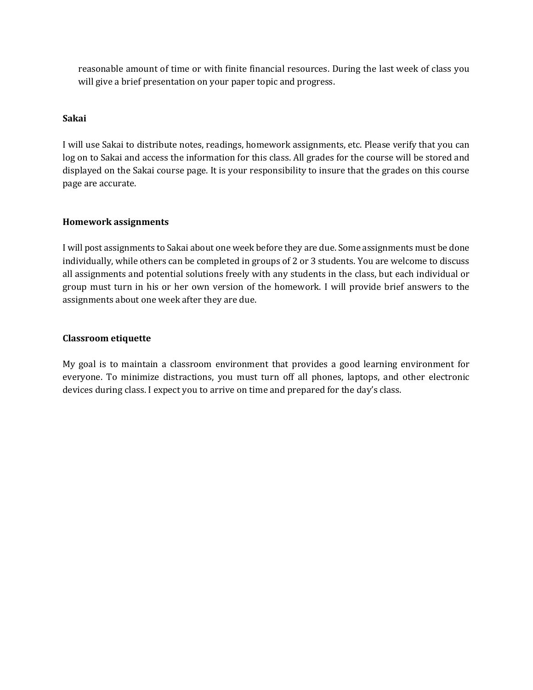reasonable amount of time or with finite financial resources. During the last week of class you will give a brief presentation on your paper topic and progress.

#### Sakai

I will use Sakai to distribute notes, readings, homework assignments, etc. Please verify that you can log on to Sakai and access the information for this class. All grades for the course will be stored and displayed on the Sakai course page. It is your responsibility to insure that the grades on this course page are accurate.

#### Homework assignments

I will post assignments to Sakai about one week before they are due. Some assignments must be done individually, while others can be completed in groups of 2 or 3 students. You are welcome to discuss all assignments and potential solutions freely with any students in the class, but each individual or group must turn in his or her own version of the homework. I will provide brief answers to the assignments about one week after they are due.

#### Classroom etiquette

My goal is to maintain a classroom environment that provides a good learning environment for everyone. To minimize distractions, you must turn off all phones, laptops, and other electronic devices during class. I expect you to arrive on time and prepared for the day's class.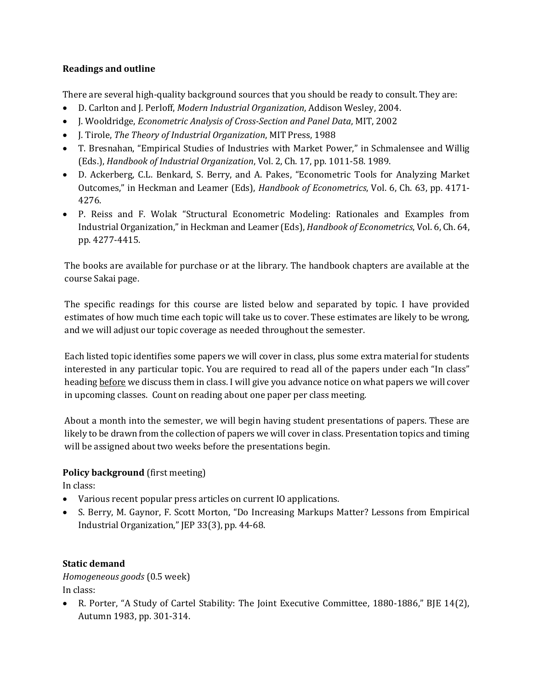### Readings and outline

There are several high-quality background sources that you should be ready to consult. They are:

- D. Carlton and J. Perloff, Modern Industrial Organization, Addison Wesley, 2004.
- J. Wooldridge, Econometric Analysis of Cross-Section and Panel Data, MIT, 2002
- I. Tirole, *The Theory of Industrial Organization*, MIT Press, 1988
- T. Bresnahan, "Empirical Studies of Industries with Market Power," in Schmalensee and Willig (Eds.), Handbook of Industrial Organization, Vol. 2, Ch. 17, pp. 1011-58. 1989.
- D. Ackerberg, C.L. Benkard, S. Berry, and A. Pakes, "Econometric Tools for Analyzing Market Outcomes," in Heckman and Leamer (Eds), Handbook of Econometrics, Vol. 6, Ch. 63, pp. 4171- 4276.
- P. Reiss and F. Wolak "Structural Econometric Modeling: Rationales and Examples from Industrial Organization," in Heckman and Leamer (Eds), Handbook of Econometrics, Vol. 6, Ch. 64, pp. 4277-4415.

The books are available for purchase or at the library. The handbook chapters are available at the course Sakai page.

The specific readings for this course are listed below and separated by topic. I have provided estimates of how much time each topic will take us to cover. These estimates are likely to be wrong, and we will adjust our topic coverage as needed throughout the semester.

Each listed topic identifies some papers we will cover in class, plus some extra material for students interested in any particular topic. You are required to read all of the papers under each "In class" heading before we discuss them in class. I will give you advance notice on what papers we will cover in upcoming classes. Count on reading about one paper per class meeting.

About a month into the semester, we will begin having student presentations of papers. These are likely to be drawn from the collection of papers we will cover in class. Presentation topics and timing will be assigned about two weeks before the presentations begin.

## Policy background (first meeting)

In class:

- Various recent popular press articles on current IO applications.
- S. Berry, M. Gaynor, F. Scott Morton, "Do Increasing Markups Matter? Lessons from Empirical Industrial Organization," JEP 33(3), pp. 44-68.

## Static demand

Homogeneous goods (0.5 week) In class:

 R. Porter, "A Study of Cartel Stability: The Joint Executive Committee, 1880-1886," BJE 14(2), Autumn 1983, pp. 301-314.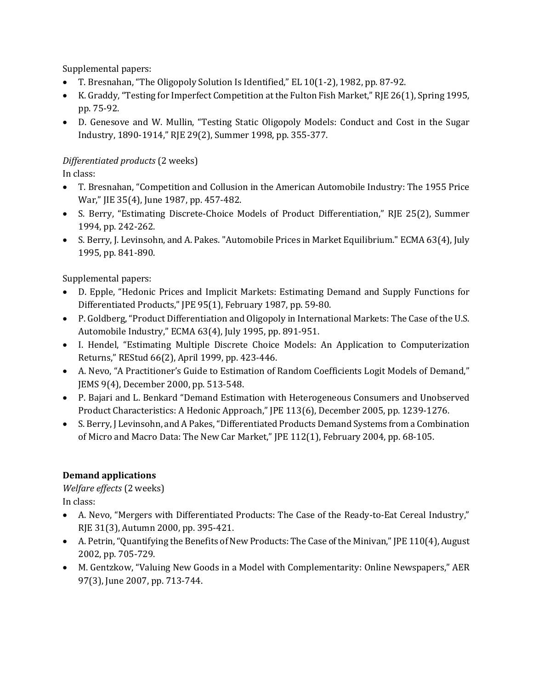Supplemental papers:

- T. Bresnahan, "The Oligopoly Solution Is Identified," EL 10(1-2), 1982, pp. 87-92.
- K. Graddy, "Testing for Imperfect Competition at the Fulton Fish Market," RJE 26(1), Spring 1995, pp. 75-92.
- D. Genesove and W. Mullin, "Testing Static Oligopoly Models: Conduct and Cost in the Sugar Industry, 1890-1914," RJE 29(2), Summer 1998, pp. 355-377.

# Differentiated products (2 weeks)

In class:

- T. Bresnahan, "Competition and Collusion in the American Automobile Industry: The 1955 Price War," JIE 35(4), June 1987, pp. 457-482.
- S. Berry, "Estimating Discrete-Choice Models of Product Differentiation," RJE 25(2), Summer 1994, pp. 242-262.
- S. Berry, J. Levinsohn, and A. Pakes. "Automobile Prices in Market Equilibrium." ECMA 63(4), July 1995, pp. 841-890.

Supplemental papers:

- D. Epple, "Hedonic Prices and Implicit Markets: Estimating Demand and Supply Functions for Differentiated Products," JPE 95(1), February 1987, pp. 59-80.
- P. Goldberg, "Product Differentiation and Oligopoly in International Markets: The Case of the U.S. Automobile Industry," ECMA 63(4), July 1995, pp. 891-951.
- I. Hendel, "Estimating Multiple Discrete Choice Models: An Application to Computerization Returns," REStud 66(2), April 1999, pp. 423-446.
- A. Nevo, "A Practitioner's Guide to Estimation of Random Coefficients Logit Models of Demand," JEMS 9(4), December 2000, pp. 513-548.
- P. Bajari and L. Benkard "Demand Estimation with Heterogeneous Consumers and Unobserved Product Characteristics: A Hedonic Approach," JPE 113(6), December 2005, pp. 1239-1276.
- S. Berry, J Levinsohn, and A Pakes, "Differentiated Products Demand Systems from a Combination of Micro and Macro Data: The New Car Market," JPE 112(1), February 2004, pp. 68-105.

# Demand applications

Welfare effects (2 weeks) In class:

- A. Nevo, "Mergers with Differentiated Products: The Case of the Ready-to-Eat Cereal Industry," RJE 31(3), Autumn 2000, pp. 395-421.
- A. Petrin, "Quantifying the Benefits of New Products: The Case of the Minivan," JPE 110(4), August 2002, pp. 705-729.
- M. Gentzkow, "Valuing New Goods in a Model with Complementarity: Online Newspapers," AER 97(3), June 2007, pp. 713-744.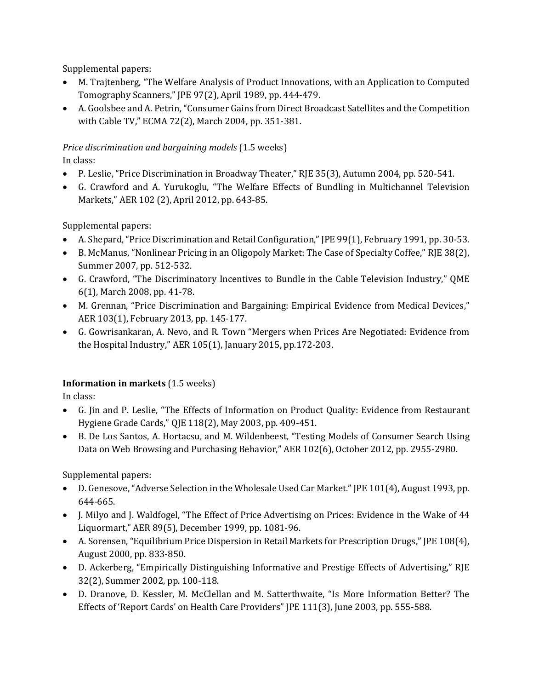Supplemental papers:

- M. Trajtenberg, "The Welfare Analysis of Product Innovations, with an Application to Computed Tomography Scanners," JPE 97(2), April 1989, pp. 444-479.
- A. Goolsbee and A. Petrin, "Consumer Gains from Direct Broadcast Satellites and the Competition with Cable TV," ECMA 72(2), March 2004, pp. 351-381.

## Price discrimination and bargaining models (1.5 weeks)

In class:

- P. Leslie, "Price Discrimination in Broadway Theater," RJE 35(3), Autumn 2004, pp. 520-541.
- G. Crawford and A. Yurukoglu, "The Welfare Effects of Bundling in Multichannel Television Markets," AER 102 (2), April 2012, pp. 643-85.

Supplemental papers:

- A. Shepard, "Price Discrimination and Retail Configuration," JPE 99(1), February 1991, pp. 30-53.
- B. McManus, "Nonlinear Pricing in an Oligopoly Market: The Case of Specialty Coffee," RJE 38(2), Summer 2007, pp. 512-532.
- G. Crawford, "The Discriminatory Incentives to Bundle in the Cable Television Industry," QME 6(1), March 2008, pp. 41-78.
- M. Grennan, "Price Discrimination and Bargaining: Empirical Evidence from Medical Devices," AER 103(1), February 2013, pp. 145-177.
- G. Gowrisankaran, A. Nevo, and R. Town "Mergers when Prices Are Negotiated: Evidence from the Hospital Industry," AER 105(1), January 2015, pp.172-203.

# Information in markets (1.5 weeks)

In class:

- G. Jin and P. Leslie, "The Effects of Information on Product Quality: Evidence from Restaurant Hygiene Grade Cards," QJE 118(2), May 2003, pp. 409-451.
- B. De Los Santos, A. Hortacsu, and M. Wildenbeest, "Testing Models of Consumer Search Using Data on Web Browsing and Purchasing Behavior," AER 102(6), October 2012, pp. 2955-2980.

Supplemental papers:

- D. Genesove, "Adverse Selection in the Wholesale Used Car Market." JPE 101(4), August 1993, pp. 644-665.
- J. Milyo and J. Waldfogel, "The Effect of Price Advertising on Prices: Evidence in the Wake of 44 Liquormart," AER 89(5), December 1999, pp. 1081-96.
- A. Sorensen, "Equilibrium Price Dispersion in Retail Markets for Prescription Drugs," JPE 108(4), August 2000, pp. 833-850.
- D. Ackerberg, "Empirically Distinguishing Informative and Prestige Effects of Advertising," RJE 32(2), Summer 2002, pp. 100-118.
- D. Dranove, D. Kessler, M. McClellan and M. Satterthwaite, "Is More Information Better? The Effects of 'Report Cards' on Health Care Providers" JPE 111(3), June 2003, pp. 555-588.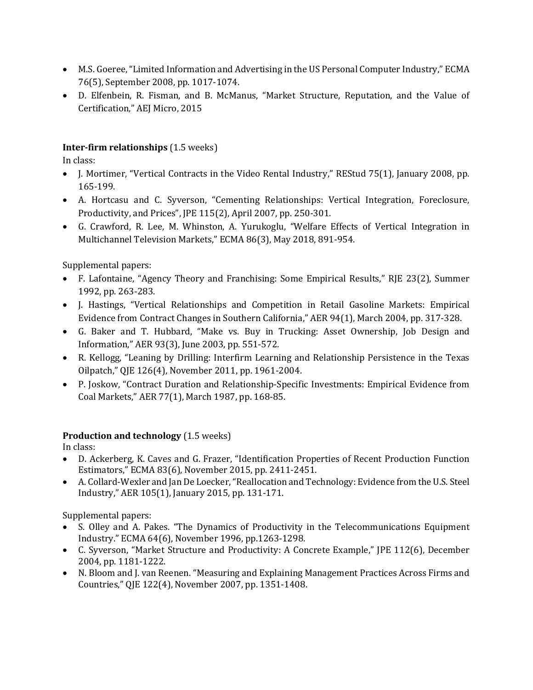- M.S. Goeree, "Limited Information and Advertising in the US Personal Computer Industry," ECMA 76(5), September 2008, pp. 1017-1074.
- D. Elfenbein, R. Fisman, and B. McManus, "Market Structure, Reputation, and the Value of Certification," AEJ Micro, 2015

## Inter-firm relationships (1.5 weeks)

In class:

- J. Mortimer, "Vertical Contracts in the Video Rental Industry," REStud 75(1), January 2008, pp. 165-199.
- A. Hortcasu and C. Syverson, "Cementing Relationships: Vertical Integration, Foreclosure, Productivity, and Prices", JPE 115(2), April 2007, pp. 250-301.
- G. Crawford, R. Lee, M. Whinston, A. Yurukoglu, "Welfare Effects of Vertical Integration in Multichannel Television Markets," ECMA 86(3), May 2018, 891-954.

Supplemental papers:

- F. Lafontaine, "Agency Theory and Franchising: Some Empirical Results," RJE 23(2), Summer 1992, pp. 263-283.
- J. Hastings, "Vertical Relationships and Competition in Retail Gasoline Markets: Empirical Evidence from Contract Changes in Southern California," AER 94(1), March 2004, pp. 317-328.
- G. Baker and T. Hubbard, "Make vs. Buy in Trucking: Asset Ownership, Job Design and Information," AER 93(3), June 2003, pp. 551-572.
- R. Kellogg, "Leaning by Drilling: Interfirm Learning and Relationship Persistence in the Texas Oilpatch," QJE 126(4), November 2011, pp. 1961-2004.
- P. Joskow, "Contract Duration and Relationship-Specific Investments: Empirical Evidence from Coal Markets," AER 77(1), March 1987, pp. 168-85.

# Production and technology (1.5 weeks)

In class:

- D. Ackerberg, K. Caves and G. Frazer, "Identification Properties of Recent Production Function Estimators," ECMA 83(6), November 2015, pp. 2411-2451.
- A. Collard-Wexler and Jan De Loecker, "Reallocation and Technology: Evidence from the U.S. Steel Industry," AER 105(1), January 2015, pp. 131-171.

Supplemental papers:

- S. Olley and A. Pakes. "The Dynamics of Productivity in the Telecommunications Equipment Industry." ECMA 64(6), November 1996, pp.1263-1298.
- C. Syverson, "Market Structure and Productivity: A Concrete Example," JPE 112(6), December 2004, pp. 1181-1222.
- N. Bloom and J. van Reenen. "Measuring and Explaining Management Practices Across Firms and Countries," QJE 122(4), November 2007, pp. 1351-1408.